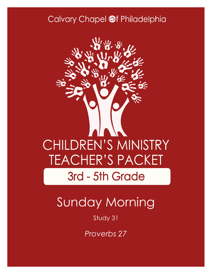### Calvary Chapel @f Philadelphia



## Sunday Morning

Study 31

*Proverbs 27*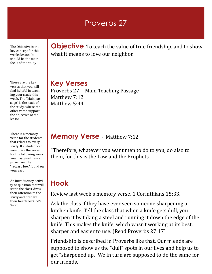### Proverbs 27

The Objective is the key concept for this weeks lesson. It should be the main focus of the study

These are the key verses that you will find helpful in teaching your study this week. The "Main passage" is the basis of the study, where the other verse support the objective of the lesson.

There is a memory verse for the students that relates to every study. If a student can memorize the verse for the following week you may give them a prize from the "reward box" found on your cart.

An introductory activity or question that will settle the class, draw their attention to the study and prepare their hearts for God's Word

**Objective** To teach the value of true friendship, and to show what it means to love our neighbor.

**Key Verses** Proverbs 27—Main Teaching Passage Matthew 7:12 Matthew 5:44

### **Memory Verse** - Matthew 7:12

"Therefore, whatever you want men to do to you, do also to them, for this is the Law and the Prophets."

### **Hook**

Review last week's memory verse, 1 Corinthians 15:33.

Ask the class if they have ever seen someone sharpening a kitchen knife. Tell the class that when a knife gets dull, you sharpen it by taking a steel and running it down the edge of the knife. This makes the knife, which wasn't working at its best, sharper and easier to use. (Read Proverbs 27:17)

Friendship is described in Proverbs like that. Our friends are supposed to show us the "dull" spots in our lives and help us to get "sharpened up." We in turn are supposed to do the same for our friends.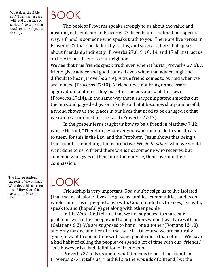What does the Bible say? This is where we will read a passage or series of passages that teach on the subject of the day.

## BOOK

The book of Proverbs speaks strongly to us about the value and meaning of friendship. In Proverbs 27, friendship is defined in a specific way: a friend is someone who speaks truth to you. There are five verses in Proverbs 27 that speak directly to this, and several others that speak about friendship indirectly. Proverbs 27:6, 9, 10, 14, and 17 all instruct us on how to be a friend to our neighbor.

We see that true friends speak truth even when it hurts (Proverbs 27:6). A friend gives advice and good counsel even when that advice might be difficult to hear (Proverbs 27:9). A true friend comes to our aid when we are in need (Proverbs 27:10). A friend does not bring unnecessary aggravation to others. They put others needs ahead of their own (Proverbs 27:14). In the same way that a sharpening stone smooths out the burs and jagged edges on a knife so that it becomes sharp and useful, a friend shows us the places in our lives that need to be changed so that we can be at our best for the Lord (Proverbs 27:17).

In the gospels Jesus taught us how to be a friend in Matthew 7:12, where He said, "Therefore, whatever you want men to do to you, do also to them, for this is the Law and the Prophets." Jesus shows that being a true friend is something that is proactive. We *do to others* what we would want done to us. A friend therefore is not someone who receives, but someone who gives of their time, their advice, their love and their compassion.

The interpretation/ exegesis of the passage. What does this passage mean? How does this passage apply to my life?

# LOOK

Friendship is very important. God didn't design us to live isolated (that means all alone) lives. He gave us families, communities, and even whole countries of people to live with. God intended us to know, live with, speak to, and (hopefully) get along with other people.

In His Word, God tells us that we are supposed to share our problems with other people and to help others when they share with us (Galatians 6:2). We are supposed to honor one another (Romans 12:10) and pray for one another (1 Timothy 2:1). Of course we are naturally going to want to spend time with some people more than others. We have a bad habit of calling the people we spend a lot of time with our "friends." This however is a bad definition of friendship.

Proverbs 27 tells us about what it means to be a true friend. In Proverbs 27:6, it tells us, "Faithful are the wounds of a friend, but the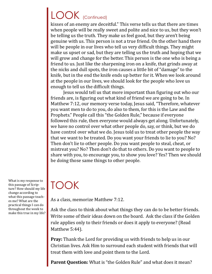## LOOK (Continued)

kisses of an enemy are deceitful." This verse tells us that there are times when people will be really sweet and polite and nice to us, but they won't be telling us the truth. They make us feel good, but they aren't being genuine with us. This person is not a true friend. On the other hand there will be people in our lives who tell us very difficult things. They might make us upset or sad, but they are telling us the truth and hoping that we will grow and change for the better. This person is the one who is being a friend to us. Just like the sharpening iron on a knife, that grinds away at the nicks and dull spots, the iron causes a little bit of "damage" to the knife, but in the end the knife ends up better for it. When we look around at the people in our lives, we should look for the people who love us enough to tell us the difficult things.

Jesus would tell us that more important than figuring out who our friends are, is figuring out what kind of friend we are going to be. In Matthew 7:12, our memory verse today, Jesus said, "Therefore, whatever you want men to do to you, do also to them, for this is the Law and the Prophets." People call this "the Golden Rule," because if everyone followed this rule, then everyone would always get along. Unfortunately, we have no control over what other people do, say, or think, but we do have control over what we do. Jesus told us to treat other people the way that we want to be treated. Do you want your friends to lie to you? No? Then don't lie to other people. Do you want people to steal, cheat, or mistreat you? No? Then don't do that to others. Do you want to people to share with you, to encourage you, to show you love? Yes? Then we should be doing those same things to other people.

What is my response to this passage of Scripture? How should my life change according to what this passage teaches me? What are the practical things I can do throughout the week to make this true in my life?

## TOOK

As a class, memorize Matthew 7:12.

Ask the class to think about what things they can do to be better friends. Write some of their ideas down on the board. Ask the class if the Golden rule applies only to their friends or does it apply to everyone? (Read Matthew 5:44).

**Pray:** Thank the Lord for providing us with friends to help us in our Christian lives. Ask Him to surround each student with friends that will treat them with love and point them to the Lord.

**Parent Question:** What is "the Golden Rule" and what does it mean?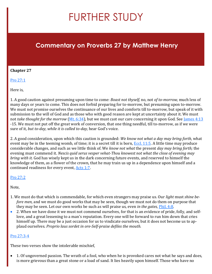## FURTHER STUDY

### **Commentary on Proverbs 27 by Matthew Henry**

#### **Chapter 27**

[Pro 27:1](https://www.blueletterbible.org/kjv/proverbs/27/1/s_655001)

Here is,

1. A good caution against presuming upon time to come: *Boast not thyself,* no, not *of to-morrow,* much less of many days or years to come. This does not forbid preparing for to-morrow, but presuming upon to-morrow. We must not promise ourselves the continuance of our lives and comforts till to-morrow, but speak of it with submission to the will of God and as those who with good reason are kept at uncertainty about it. We must not *take thought for the morrow* ([Mt. 6:34\),](https://www.blueletterbible.org/kjv/matthew/6/34/s_935034) but we must cast our care concerning it upon God. See [James 4:13](https://www.blueletterbible.org/kjv/james/4/13/s_1150013) -15. We must not put off the great work of conversion, that one thing needful, till to-morrow, as if we were sure of it, *but to-day, while it is called to-day,* hear God's voice.

2. A good consideration, upon which this caution is grounded: *We know not what a day may bring forth,* what event may be in the teeming womb, of time; it is a secret till it is born, [Eccl. 11:5.](https://www.blueletterbible.org/kjv/ecclesiastes/11/5/s_670005) A little time may produce considerable changes, and such as we little think of. We *know not what* the present *day may bring forth;* the evening must commend it. *Nescis quid serus vesper vehat-Thou knowest not what the close of evening may bring with it.* God has wisely kept us in the dark concerning future events, and reserved to himself the knowledge of them, as a flower of the crown, that he may train us up in a dependence upon himself and a continued readiness for every event, [Acts 1:7.](https://www.blueletterbible.org/kjv/acts/1/7/s_1019007)

#### [Pro 27:2](https://www.blueletterbible.org/kjv/proverbs/27/2/s_655002)

Note,

- 1. We must do that which is commendable, for which even strangers may praise us. Our *light* must *shine before men,* and we must do good works that may be seen, though we must not do them on purpose that they may be seen. Let our own works be such as will praise us, even *in the gates,* [Phil. 4:8.](https://www.blueletterbible.org/kjv/philippians/4/8/s_1107008)
- 2. When we have done it we must not commend ourselves, for that is an evidence of pride, folly, and selflove, and a great lessening to a man's reputation. Every one will be forward to run him down that cries himself up. There may be a just occasion for us to vindicate ourselves, but it does not become us to applaud ourselves. *Proprio laus sordet in ore-Self-praise defiles the mouth[.](https://www.blueletterbible.org/kjv/proverbs/27/3/s_655003)*

#### [Pro 27:3](https://www.blueletterbible.org/kjv/proverbs/27/3/s_655003)-4

These two verses show the intolerable mischief,

 1. Of ungoverned passion. The wrath of a fool, who when he is provoked cares not what he says and does, is more grievous than a great stone or a load of sand. It lies heavily upon himself. Those who have no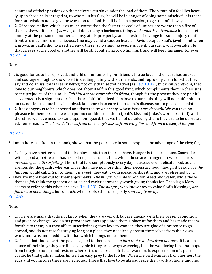command of their passions do themselves even sink under the load of them. The wrath of a fool lies heavily upon those he is enraged at, to whom, in his fury, he will be in danger of doing some mischief. It is therefore our wisdom not to give provocation to a fool, but, if he be in a passion, to get out of his way.

 2. Of rooted malice, which is as much worse than the former as coals of juniper are worse than a fire of thorns. *Wrath* (it is true) *is cruel,* and does many a barbarous thing, *and anger is outrageous;* but a secret enmity at the person of another, an envy at his prosperity, and a desire of revenge for some injury or affront, are much more mischievous. One may avoid a sudden heat, as David escaped Saul's javelin, but when it grows, as Saul's did, to a settled envy, there is no *standing before it;* it will pursue; it will overtake. He that grieves at the good of another will be still contriving to do him hurt, and will keep his anger for ever. [Pro 27:5](https://www.blueletterbible.org/kjv/proverbs/27/5/s_655005)-6

#### Note,

- 1. It is good for us to be reproved, and told of our faults, by our friends. If true love in the heart has but zeal and courage enough to show itself in dealing plainly with our friends, and reproving them for what they say and do amiss, this is really *better,* not only than secret hatred (as [Lev. 19:17\),](https://www.blueletterbible.org/kjv/leviticus/19/17/s_109017) but *than secret love,* that love to our neighbours which does not show itself in this good fruit, which compliments them in their sins, to the prejudice of their souls. *Faithful are the reproofs of a friend,* though for the present they are painful as *wounds.* It is a sign that our friends are faithful indeed if, in love to our souls, they will not suffer sin upon us, nor let us alone in it. The physician's care is to cure the patient's disease, not to please his palate.
- 2. It is dangerous to be caressed and flattered by *an enemy,* whose *kisses are deceitful* We can take no pleasure in them because we can put no confidence in them (Joab's kiss and Judas's were deceitful), and therefore we have need to stand upon our guard, that we be not deluded by them; they are to be deprecated. Some read it: *The Lord deliver us from an enemy's kisses, from lying lips, and from a deceitful tongue.*

#### [Pro 27:7](https://www.blueletterbible.org/kjv/proverbs/27/7/s_655007)

Solomon here, as often in this book, shows that the poor have in some respects the advantage of the rich; for,

- 1. They have a better relish of their enjoyments than the rich have. Hunger is the best sauce. Coarse fare, with a good appetite to it has a sensible pleasantness in it, which those are strangers to whose hearts are *overcharged with surfeiting.* Those that fare sumptuously every day nauseate even delicate food, as the Israelites did the quails; whereas those that have no more than their necessary food, though it be such as *the full soul* would call *bitter,* to them it *is sweet;* they eat it with pleasure, digest it, and are refreshed by it.
- 2. They are more thankful for their enjoyments: *The hungry* will bless God for bread and water, while those that are *full* think the greatest dainties and varieties scarcely worth giving thanks for. The virgin Mary seems to refer to this when she says ([Lu. 1:53\),](https://www.blueletterbible.org/kjv/luke/1/53/s_974053) *The hungry,* who know how to value God's blessings, *are filled with good things,* but *the rich,* who despise them, are justly *sent empty away[.](https://www.blueletterbible.org/kjv/proverbs/27/8/s_655008)* [Pro 27:8](https://www.blueletterbible.org/kjv/proverbs/27/8/s_655008)

#### Note,

- 1. There are many that do not know when they are well off, but are uneasy with their present condition, and given to change. God, in his providence, has appointed them a place fit for them and has made it comfortable to them; but they affect unsettledness; they love to wander; they are glad of a pretence to go abroad, and do not care for staying long at a place; they needlessly absent themselves from their own work and care, and meddle with that which belongs not to them.
- 2. Those that thus desert the post assigned to them are like *a bird that wanders from her nest.* It is an instance of their folly; they are like a silly bird; they are always wavering, like the wandering bird that hops from bough to bough and rests nowhere. It is unsafe; the bird that wanders is exposed; a man's place is his castle; he that quits it makes himself an easy prey to the fowler. When the bird wanders from her nest the eggs and young ones there are neglected. Those that love to be abroad leave their work at home undone.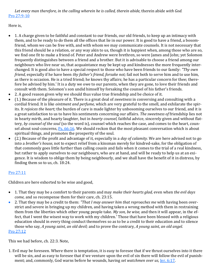*Let every man therefore, in the calling wherein he is called, therein abide,* therein abide *with God.* [Pro 27:9](https://www.blueletterbible.org/kjv/proverbs/27/9/s_655009)-10

Here is,

- 1. A charge given to be faithful and constant to our friends, our old friends, to keep up an intimacy with them, and to be ready to do them all the offices that lie in our power. It is good to have a friend, a bosomfriend, whom we can be free with, and with whom we may communicate counsels. It is not necessary that this friend should be a relation, or any way akin to us, though it is happiest when, among those who are so, we find one fit to make a friend of. Peter and Andrew were brethren, so were James and John; yet Solomon frequently distinguishes between a friend and a brother. But it is advisable to choose a friend among our neighbours who live near us, that acquaintance may be kept up and kindnesses the more frequently interchanged. It is good also to have a special respect to those who have been friends to our family: *"Thy own friend,* especially if he have been *thy father's friend, forsake not;* fail not both to serve him and to use him, as there is occasion. He is a tried friend; he knows thy affairs; he has a particular concern for thee; therefore be advised by him.' It is a duty we owe to our parents, when they are gone, to love their friends and consult with them. Solomon's son undid himself by forsaking the counsel of his father's friends.
- 2. A good reason given why we should thus value true friendship and be choice of it.
- (1.) Because of the pleasure of it. There is a great deal of *sweetness* in conversing and consulting with a cordial friend. It is like *ointment and perfume,* which are very grateful to the smell, and exhilarate the spirits. It *rejoices the heart;* the burden of care is made lighter by unbosoming ourselves to our friend, and it is a great satisfaction to us to have his sentiments concerning our affairs. *The sweetness of* friendship lies not in hearty mirth, and hearty laughter, but in *hearty counsel,* faithful advice, sincerely given and without flattery, *by counsel of the soul* (so the word is), counsel which reaches the case, and comes to the heart, coun-sel about soul-concerns, [Ps. 66:16.](https://www.blueletterbible.org/kjv/psalms/66/16/s_544016) We should reckon that the most pleasant conversation which is about spiritual things, and promotes the prosperity of the soul.
- (2.) Because of the profit and advantage of it, especially in a *day of calamity.* We are here advised not to go into a *brother's house,* not to expect relief from a kinsman merely for kindred-sake, for the obligation of that commonly goes little further than calling cousin and fails when it comes to the trial of a real kindness, but rather to apply ourselves to our neighbours, who are at hand, and will be ready to help us at an exigence. It is wisdom to oblige them by being neighbourly, and we shall have the benefit of it in distress, by finding them so to us, ch. 18:24.

#### [Pro 27:11](https://www.blueletterbible.org/kjv/proverbs/27/11/s_655011)

Children are here exhorted to be wise and good,

- 1. That they may be a comfort to their parents and may *make their hearts glad,* even when *the evil days come,* and so recompense them for their care, ch. 23:15.
- 2. That they may be a credit to them: *"That I may answer him that reproaches me* with having been overstrict and severe in bringing up my children, and having taken a wrong method with them in restraining them from the liberties which other young people take. *My son, be wise,* and then it will appear, in the effect, that I went the wisest way to work with my children.' Those that have been blessed with a religious education should in every thing conduct themselves so as to be a credit to their education and to silence those who say, *A young saint, an old devil;* and to prove the contrary, *A young saint, an old angel.* [Pro 27:12](https://www.blueletterbible.org/kjv/proverbs/27/12/s_655012)

This we had before, ch. 22:3. Note,

1. Evil may be foreseen. Where there is temptation, it is easy to foresee that if we thrust ourselves into it there will be sin, and as easy to foresee that if we venture upon the evil of sin there will follow the evil of punishment; and, commonly, God warns before he wounds, having *set watchmen over us,* [Jer. 6:17.](https://www.blueletterbible.org/kjv/jeremiah/6/17/s_751017)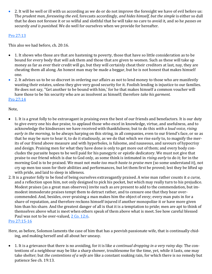2. It will be well or ill with us according as we do or do not improve the foresight we have of evil before us: The *prudent man, foreseeing the evil,* forecasts accordingly, *and hides himself, but the simple* is either so dull that he does not foresee it or so wilful and slothful that he will take no care to avoid it, and so he *passes on* securely *and is punished.* We do well for ourselves when we provide for hereafter.

#### [Pro 27:13](https://www.blueletterbible.org/kjv/proverbs/27/13/s_655013)

This also we had before, ch. 20:16.

- 1. It shows who those are that are hastening to poverty, those that have so little consideration as to be bound for every body that will ask them and those that are given to women. Such as these will take up money as far as ever their credit will go, but they will certainly cheat their creditors at last, nay, they are cheating them all along. An honest man may be made a beggar, but he is not honest that makes himself one.
- 2. It advises us to be so discreet in ordering our affairs as not to lend money to those who are manifestly wasting their estates, unless they give very good security for it. Foolish lending is injustice to our families. He does not say, "Get another to be bound with him,' for he that makes himself a common voucher will have those to be his security who are as insolvent as himself; therefore *take his garment[.](https://www.blueletterbible.org/kjv/proverbs/27/14/s_655014)* [Pro 27:14](https://www.blueletterbible.org/kjv/proverbs/27/14/s_655014)

#### Note,

- 1. It is a great folly to be extravagant in praising even the best of our friends and benefactors. It is our duty to give every one his due praise, to applaud those who excel in knowledge, virtue, and usefulness, and to acknowledge the kindnesses we have received with thankfulness; but to do this *with a loud voice, rising early in the morning,* to be always harping on this string, in all companies, even to our friend's face, or so as that he may be sure to hear it, to do it studiously, as we do that which we rise early to, to magnify the merits of our friend above measure and with hyperboles, is fulsome, and nauseous, and savours of hypocrisy and design. Praising men for what they have done is only to get more out of them; and every body concludes the parasite hopes to be well paid for his panegyric or epistle dedicatory. We must not give that praise to our friend which is due to God only, as some think is intimated in *rising early* to do it; for in the morning God is to be praised. We must not *make too much haste to praise men* (so some understand it), not cry up men too soon for their abilities and performances, but let them first be proved; lest they be lifted up with pride, and laid to sleep in idleness.
- 2. It is a greater folly to be fond of being ourselves extravagantly praised. A wise man rather counts it *a curse,* and a reflection upon him, not only designed to pick his pocket, but which may really turn to his prejudice. Modest praises (as a great man observes) invite such as are present to add to the commendation, but immodest immoderate praises tempt them to detract rather, and to censure one that they hear overcommended. And, besides, over-praising a man makes him the object of envy; every man puts in for a share of reputation, and therefore reckons himself injured if another monopolize it or have more given him than his share. And the greatest danger of all is that it is a temptation to pride; men are apt to think of themselves above what is meet when others speak of them above what is meet. See how careful blessed Paul was not to be over-valued, [2 Co. 12:6.](https://www.blueletterbible.org/kjv/2corinthians/12/6/s_1090006)

#### [Pro 27:15](https://www.blueletterbible.org/kjv/proverbs/27/15/s_655015)-16

Here, as before, Solomon laments the case of him that has a peevish passionate wife, that is continually chiding, and making herself and all about her uneasy.

 1. It is a grievance that there is no avoiding, for it is like *a continual dropping in a very rainy day.* The contentions of a neighbour may be like a sharp shower, troublesome for the time, yet, while it lasts, one may take shelter; but *the contentions of a wife* are like a constant soaking rain, for which there is no remedy but patience See ch. 19:13.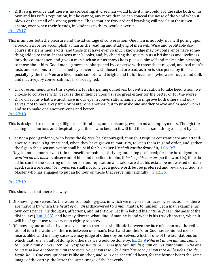- 2. It is a grievance that there is no concealing. A wise man would hide it if he could, for the sake both of his own and his wife's reputation, but he cannot, any more than he can conceal the noise of the wind when it blows or the smell of a strong perfume. Those that are froward and brawling will proclaim their own shame, even when their friends, in kindness to them, would cover it.
- [Pro 27:17](https://www.blueletterbible.org/kjv/proverbs/27/17/s_655017)
- This intimates both the pleasure and the advantage of conversation. One man is nobody; nor will poring upon a book in a corner accomplish a man as the reading and studying of men will. Wise and profitable discourse sharpens men's wits; and those that have ever so much knowledge may by conference have something added to them. It sharpens men's looks, and, by cheering the spirits, puts a briskness and liveliness into the countenance, and gives a man such an air as shows he is pleased himself and makes him pleasing to those about him. Good men's graces are sharpened by converse with those that are good, and bad men's lusts and passions are sharpened by converse with those that are bad, as iron is sharpened by its like, especially by the file. Men are filed, made smooth, and bright, and fit for business (who were rough, and dull, and inactive), by conversation. This is designed,
- 1. To recommend to us this expedient for sharpening ourselves, but with a caution to take heed whom we choose to converse with, because the influence upon us is so great either for the better or for the worse.
- 2. To direct us what we must have in our eye in conversation, namely to improve both others and ourselves, not to pass away time or banter one another, but to *provoke one another to love and to good works* and so to make one another wiser and better.

#### [Pro 27:18](https://www.blueletterbible.org/kjv/proverbs/27/18/s_655018)

This is designed to encourage diligence, faithfulness, and constancy, even in mean employments. Though the calling be laborious and despicable, yet those who keep to it will find there is something to be got by it.

- 1. Let not a poor gardener, who *keeps the fig-tree,* be discouraged; though it require constant care and attendance to nurse up fig-trees, and, when they have grown to maturity, to keep them in good order, and gather the figs in their season, yet he shall be paid for his pains: He *shall eat the fruit* of it, [1 Co. 9:7.](https://www.blueletterbible.org/kjv/1corinthians/9/7/s_1071007)
- 2. Nay, let not a poor servant think himself incapable of thriving and being preferred; for if he be diligent in *waiting on his master,* observant of him and obedient to him, if *he keep his master* (so the word is), if he do all he can for the securing of his person and reputation and take care that his estate be not wasted or damaged, such a one *shall be honoured,* shall not only get a good word, but be preferred and rewarded. God is a Master who has engaged to put an honour on those that serve him faithfully,  $[n. 12:26]$ .

#### [Pro 27:19](https://www.blueletterbible.org/kjv/proverbs/27/19/s_655019)

This shows us that there is a way,

- 1. Of knowing ourselves. As the water is a looking-glass in which we may see our faces by reflection, so there are mirrors by which the *heart of a man* is discovered to *a man,* that is, to himself. Let a man examine his own conscience, his thoughts, affections, and intentions. Let him behold his *natural face in the glass* of the divine law ( $\frac{\tan 1:23}{\tan 1:23}$ ), and he may discern what kind of man he is and what is his true character, which it will be of great use to every man rightly to know.
- 2. Of knowing one another by ourselves; for, as there is a similitude between the face of a man and the reflection of it in the water, so there is between one man's heart and another's for God has fashioned men's hearts alike; and in many cases we may judge of others by ourselves, which is one of the foundations on which that rule is built of doing to others as we would be done by, [Ex. 23:9](https://www.blueletterbible.org/kjv/exodus/23/9/s_73009) *Nihil est unum uni tam simile, tam par, quam omnes inter nosmet ipsos sumus. Sui nemo ipse tam similis quam omnes sunt omnium-No one thing is so like another as man is to man. No person is so like himself as each person is to all besides. Cic. de Legib. lib.* 1. One corrupt heart is like another, and so is one sanctified heart, for the former bears the same image of the earthy, the latter the same image of the heavenly[.](https://www.blueletterbible.org/kjv/proverbs/27/20/s_655020)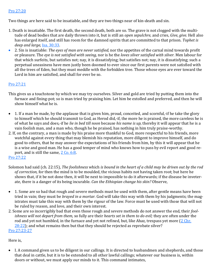#### [Pro 27:20](https://www.blueletterbible.org/kjv/proverbs/27/20/s_655020)

Two things are here said to be insatiable, and they are two things near of kin-death and sin.

- 1. Death is insatiable. The first death, the second death, both are so. The grave is not clogged with the multitude of dead bodies that are daily thrown into it, but is still an *open sepulchre,* and cries, *Give, give.* Hell also has enlarged itself, and still has room for the damned spirits that are committed to that prison. *Tophet is deep and large,* [Isa. 30:33.](https://www.blueletterbible.org/kjv/isaiah/30/33/s_709033)
- 2. Sin is insatiable: *The eyes of man are never satisfied,* nor the appetites of the carnal mind towards profit or pleasure. The *eye is not satisfied with seeing,* nor is he the *loves silver satisfied with silver.* Men labour for that which surfeits, but satisfies not; nay, it is dissatisfying; but satisfies not; nay, it is dissatisfying; such a perpetual uneasiness have men justly been doomed to ever since our first parents were not satisfied with all the trees of Eden, but they must meddle with the forbidden tree. Those whose eyes are ever toward the Lord in him are satisfied, and shall for ever be so.

#### [Pro 27:21](https://www.blueletterbible.org/kjv/proverbs/27/21/s_655021)

- This gives us a touchstone by which we may try ourselves. Silver and gold are tried by putting them into the furnace and fining-pot; so is man tried by praising him. Let him be extolled and preferred, and then he will show himself what he is.
- 1. If a man be made, by the applause that is given him, proud, conceited, and scornful,-if he take the glory to himself which he should transmit to God, as Herod did,-if, the more he is praised, the more careless he is of what he says and does,-if he *lie in bed till noon* because *his name is up,* thereby it will appear that he is a vain foolish man, and a man who, though he be praised, has nothing in him truly praise-worthy.
- 2. If, on the contrary, a man is made by his praise more thankful to God, more respectful to his friends, more watchful against every thing that may blemish his reputation, more diligent to improve himself, and do good to others, that he may answer the expectations of his friends from him, by this it will appear that he is a wise and good man. He has a good temper of mind who knows how to pass by evil report and good report, and is still the same, [2 Co. 6:8.](https://www.blueletterbible.org/kjv/2corinthians/6/8/s_1084008)

#### [Pro 27:22](https://www.blueletterbible.org/kjv/proverbs/27/22/s_655022)

Solomon had said (ch. 22:15), *The foolishness* which *is bound in the heart of a child may be driven out by the rod of correction,* for then the mind is to be moulded, the vicious habits not having taken root; but here he shows that, if it be not done then, it will be next to impossible to do it afterwards; if the disease be inveterate, there is a danger of its being incurable. *Can the Ethiopian change his skin?* Observe,

- 1. Some are so bad that rough and severe methods must be used with them, after gentle means have been tried in vain; they must be *brayed in a mortar.* God will take this way with them by his judgments; the magistrates must take this way with them by the rigour of the law. Force must be used with those that will not be ruled by reason, and love, and their own interest.
- 2. Some are so incorrigibly bad that even those rough and severe methods do not answer the end, their *foolishness will not depart from them,* so fully are their *hearts set in them to do evil;* they are often under the rod and yet not humbled, in the furnace and yet not refined, but, like Ahaz, trespass yet more (2 Chr.  $28:22$ ); and what remains then but that they should be rejected as reprobate silver? [Pro 27:23](https://www.blueletterbible.org/kjv/proverbs/27/23/s_655023)-27

#### Here is,

 I. A command given us to be diligent in our callings. It is directed to husbandmen and shepherds, and those that deal in cattle, but it is to be extended to all other lawful callings; whatever our business is, within doors or without, we must apply our minds to it. This command intimates,